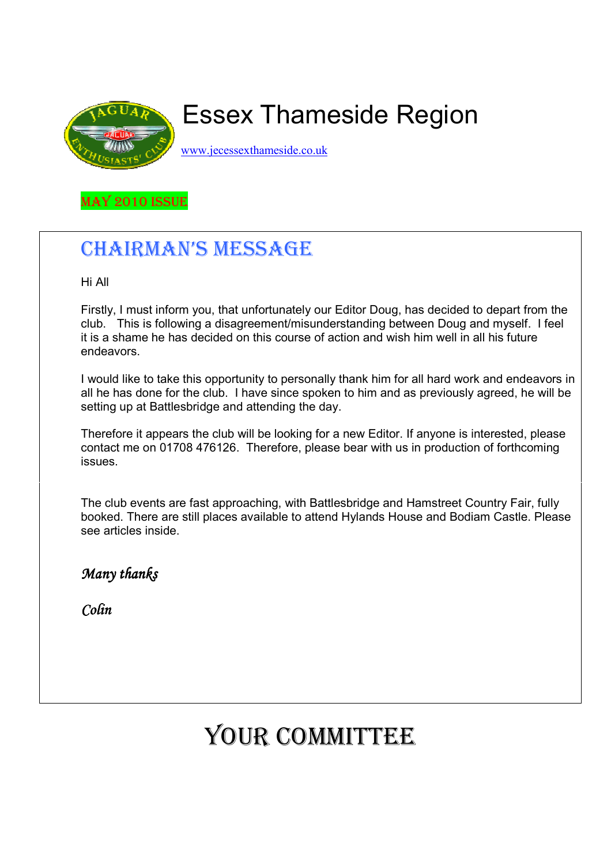

# Essex Thameside Region

www.jecessexthameside.co.uk

MAY 2010 ISSUE

## CHAIRMAN'S MESSAGE

Hi All

 Firstly, I must inform you, that unfortunately our Editor Doug, has decided to depart from the club. This is following a disagreement/misunderstanding between Doug and myself. I feel it is a shame he has decided on this course of action and wish him well in all his future endeavors.

 I would like to take this opportunity to personally thank him for all hard work and endeavors in all he has done for the club. I have since spoken to him and as previously agreed, he will be setting up at Battlesbridge and attending the day.

 Therefore it appears the club will be looking for a new Editor. If anyone is interested, please contact me on 01708 476126. Therefore, please bear with us in production of forthcoming issues.

 The club events are fast approaching, with Battlesbridge and Hamstreet Country Fair, fully booked. There are still places available to attend Hylands House and Bodiam Castle. Please see articles inside.

Many thanks

Colin

# YOUR COMMITTEE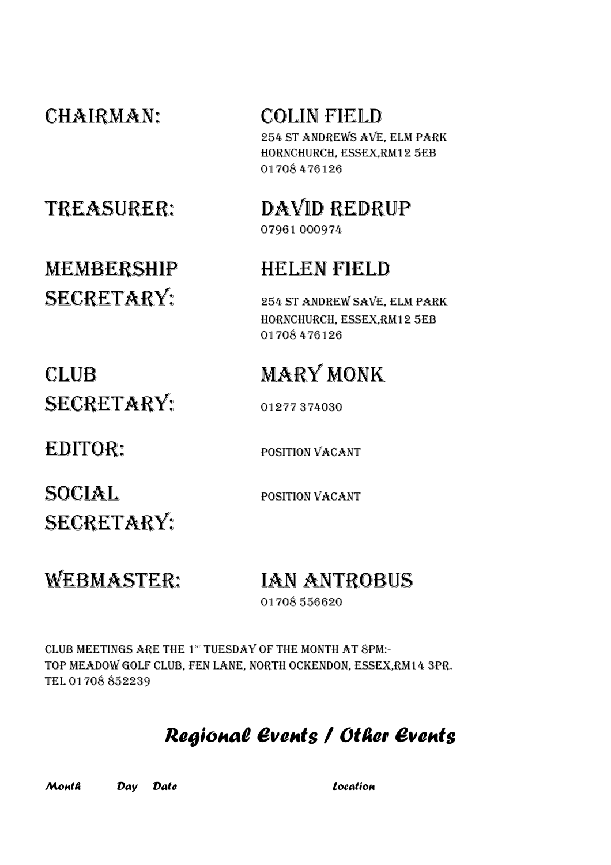CHAIRMAN: COLIN FIELD 254 ST ANDREWS AVE, ELM PARK HORNCHURCH, ESSEX,RM12 5EB 01708 476126

TREASURER: DAVID REDRUP

MEMBERSHIP HELEN FIELD SECRETARY: 254 ST ANDREW SAVE, ELM PARK

# 07961 000974

 HORNCHURCH, ESSEX,RM12 5EB 01708 476126

## CLUB MARY MONK SECRETARY: 01277 374030

EDITOR: POSITION VACANT

SOCIAL POSITION VACANT SECRETARY:

## WEBMASTER: IAN ANTROBUS

01708 556620

CLUB MEETINGS ARE THE  $1^{st}$  TUESDAY OF THE MONTH AT  $8$ PM:-TOP MEADOW GOLF CLUB, FEN LANE, NORTH OCKENDON, ESSEX,RM14 3PR. TEL 01708 852239

## Regional Events / Other Events

Month Day Date Location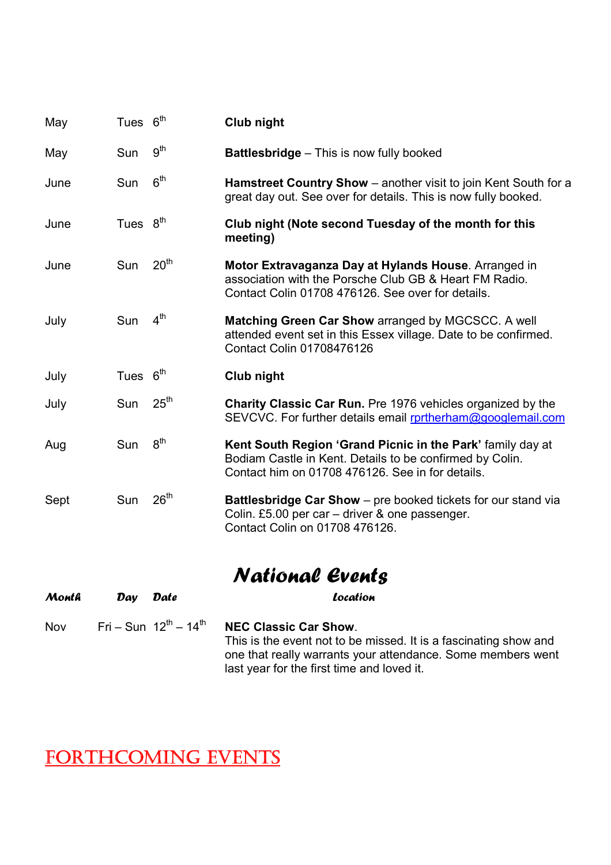| May   | Tues 6 <sup>th</sup> |                                                 | Club night                                                                                                                                                                 |
|-------|----------------------|-------------------------------------------------|----------------------------------------------------------------------------------------------------------------------------------------------------------------------------|
| May   | Sun                  | 9 <sup>th</sup>                                 | <b>Battlesbridge</b> - This is now fully booked                                                                                                                            |
| June  | Sun                  | 6 <sup>th</sup>                                 | Hamstreet Country Show - another visit to join Kent South for a<br>great day out. See over for details. This is now fully booked.                                          |
| June  | Tues 8 <sup>th</sup> |                                                 | Club night (Note second Tuesday of the month for this<br>meeting)                                                                                                          |
| June  | Sun                  | 20 <sup>th</sup>                                | Motor Extravaganza Day at Hylands House. Arranged in<br>association with the Porsche Club GB & Heart FM Radio.<br>Contact Colin 01708 476126. See over for details.        |
| July  | Sun                  | 4 <sup>th</sup>                                 | Matching Green Car Show arranged by MGCSCC. A well<br>attended event set in this Essex village. Date to be confirmed.<br>Contact Colin 01708476126                         |
| July  | Tues $6th$           |                                                 | Club night                                                                                                                                                                 |
| July  | Sun                  | 25 <sup>th</sup>                                | <b>Charity Classic Car Run.</b> Pre 1976 vehicles organized by the<br>SEVCVC. For further details email rprtherham@googlemail.com                                          |
| Aug   | Sun                  | 8 <sup>th</sup>                                 | Kent South Region 'Grand Picnic in the Park' family day at<br>Bodiam Castle in Kent. Details to be confirmed by Colin.<br>Contact him on 01708 476126. See in for details. |
| Sept  | Sun                  | 26 <sup>th</sup>                                | Battlesbridge Car Show - pre booked tickets for our stand via<br>Colin. £5.00 per car - driver & one passenger.<br>Contact Colin on 01708 476126.                          |
|       |                      |                                                 | National Events                                                                                                                                                            |
| Month | Day                  | <b>Date</b>                                     | Location                                                                                                                                                                   |
| Nov   |                      | $Fri - Sun$ 12 <sup>th</sup> - 14 <sup>th</sup> | <b>NEC Classic Car Show.</b>                                                                                                                                               |

 This is the event not to be missed. It is a fascinating show and one that really warrants your attendance. Some members went last year for the first time and loved it.

## FORTHCOMING EVENTS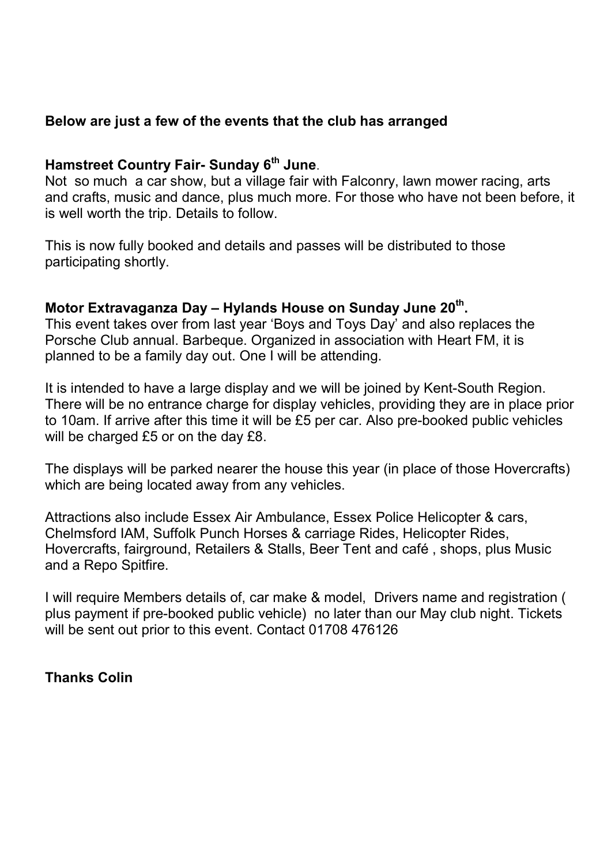### Below are just a few of the events that the club has arranged

### Hamstreet Country Fair- Sunday 6<sup>th</sup> June.

Not so much a car show, but a village fair with Falconry, lawn mower racing, arts and crafts, music and dance, plus much more. For those who have not been before, it is well worth the trip. Details to follow.

This is now fully booked and details and passes will be distributed to those participating shortly.

### Motor Extravaganza Day – Hylands House on Sunday June 20<sup>th</sup>.

This event takes over from last year 'Boys and Toys Day' and also replaces the Porsche Club annual. Barbeque. Organized in association with Heart FM, it is planned to be a family day out. One I will be attending.

It is intended to have a large display and we will be joined by Kent-South Region. There will be no entrance charge for display vehicles, providing they are in place prior to 10am. If arrive after this time it will be £5 per car. Also pre-booked public vehicles will be charged £5 or on the day £8.

The displays will be parked nearer the house this year (in place of those Hovercrafts) which are being located away from any vehicles.

Attractions also include Essex Air Ambulance, Essex Police Helicopter & cars, Chelmsford IAM, Suffolk Punch Horses & carriage Rides, Helicopter Rides, Hovercrafts, fairground, Retailers & Stalls, Beer Tent and café , shops, plus Music and a Repo Spitfire.

I will require Members details of, car make & model, Drivers name and registration ( plus payment if pre-booked public vehicle) no later than our May club night. Tickets will be sent out prior to this event. Contact 01708 476126

#### Thanks Colin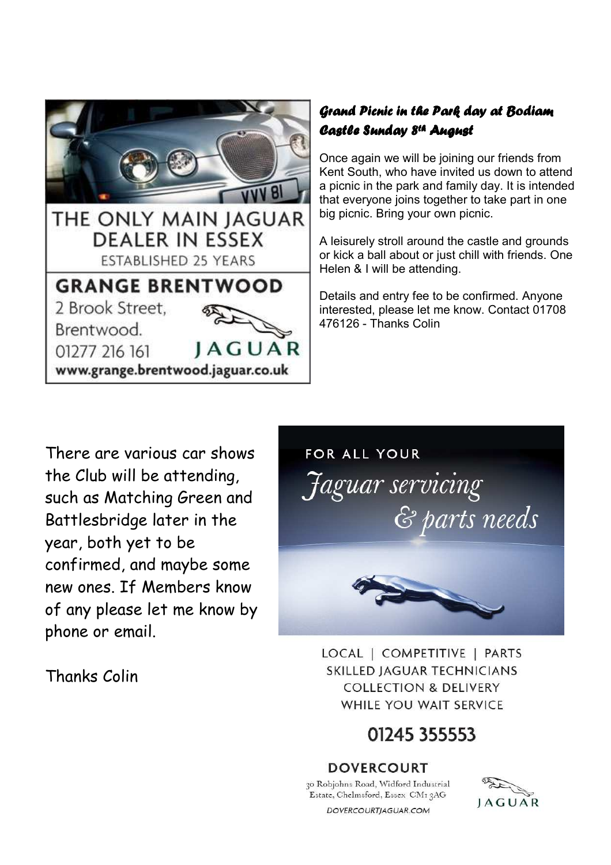

### Grand Picnic in the Park day at Bodiam Castle Sunday 8<sup>th</sup> August

Once again we will be joining our friends from Kent South, who have invited us down to attend a picnic in the park and family day. It is intended that everyone joins together to take part in one big picnic. Bring your own picnic.

A leisurely stroll around the castle and grounds or kick a ball about or just chill with friends. One Helen & I will be attending.

Details and entry fee to be confirmed. Anyone interested, please let me know. Contact 01708 476126 - Thanks Colin

There are various car shows the Club will be attending, such as Matching Green and Battlesbridge later in the year, both yet to be confirmed, and maybe some new ones. If Members know of any please let me know by phone or email.

Thanks Colin



LOCAL | COMPETITIVE | PARTS **SKILLED JAGUAR TECHNICIANS COLLECTION & DELIVERY** WHILE YOU WAIT SERVICE

## 01245 355553

#### **DOVERCOURT**

30 Robjohns Road, Widford Industrial Estate, Chelmsford, Essex CM13AG

JAGUAR

DOVERCOURTJAGUAR.COM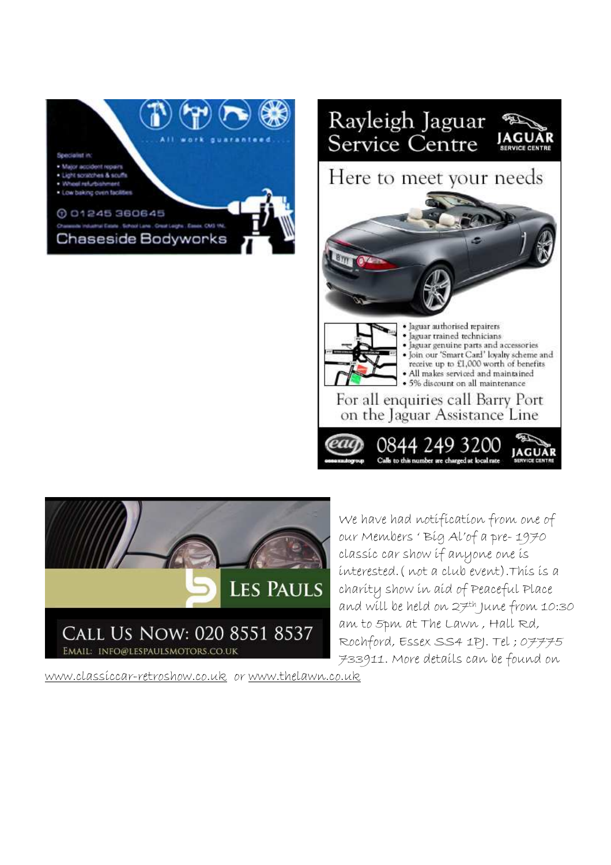





We have had notification from one of our Members ' Big Al'of a pre- 1970 classic car show if anyone one is interested.( not a club event).This is a charity show in aid of Peaceful Place and will be held on 27th June from 10:30 am to 5pm at The Lawn , Hall Rd, Rochford, Essex SS4 1PJ. Tel ; 07775 733911. More details can be found on

www.classiccar-retroshow.co.uk or www.thelawn.co.uk